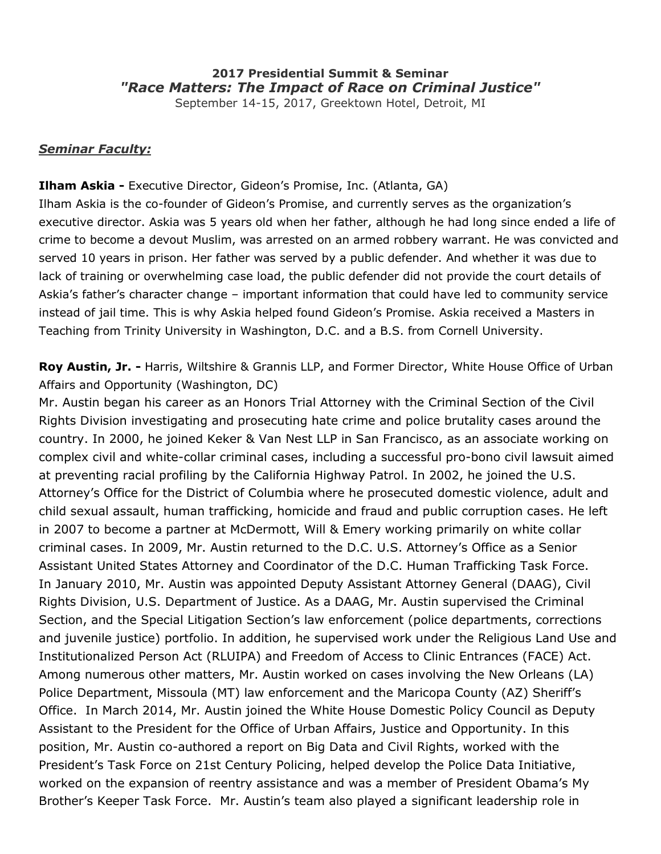# **2017 Presidential Summit & Seminar** *"Race Matters: The Impact of Race on Criminal Justice"*

September 14-15, 2017, Greektown Hotel, Detroit, MI

#### *Seminar Faculty:*

### **[Ilham Askia](http://www.gideonspromise.org/leadership/ilham-askia) -** Executive Director, Gideon's Promise, Inc. (Atlanta, GA)

Ilham Askia is the co-founder of Gideon's Promise, and currently serves as the organization's executive director. Askia was 5 years old when her father, although he had long since ended a life of crime to become a devout Muslim, was arrested on an armed robbery warrant. He was convicted and served 10 years in prison. Her father was served by a public defender. And whether it was due to lack of training or overwhelming case load, the public defender did not provide the court details of Askia's father's character change – important information that could have led to community service instead of jail time. This is why Askia helped found Gideon's Promise. Askia received a Masters in Teaching from Trinity University in Washington, D.C. and a B.S. from Cornell University.

**[Roy Austin, Jr.](https://www.hwglaw.com/team/roy-l-austin-jr/) -** Harris, Wiltshire & Grannis LLP, and Former Director, White House Office of Urban Affairs and Opportunity (Washington, DC)

Mr. Austin began his career as an Honors Trial Attorney with the Criminal Section of the Civil Rights Division investigating and prosecuting hate crime and police brutality cases around the country. In 2000, he joined Keker & Van Nest LLP in San Francisco, as an associate working on complex civil and white-collar criminal cases, including a successful pro-bono civil lawsuit aimed at preventing racial profiling by the California Highway Patrol. In 2002, he joined the U.S. Attorney's Office for the District of Columbia where he prosecuted domestic violence, adult and child sexual assault, human trafficking, homicide and fraud and public corruption cases. He left in 2007 to become a partner at McDermott, Will & Emery working primarily on white collar criminal cases. In 2009, Mr. Austin returned to the D.C. U.S. Attorney's Office as a Senior Assistant United States Attorney and Coordinator of the D.C. Human Trafficking Task Force. In January 2010, Mr. Austin was appointed Deputy Assistant Attorney General (DAAG), Civil Rights Division, U.S. Department of Justice. As a DAAG, Mr. Austin supervised the Criminal Section, and the Special Litigation Section's law enforcement (police departments, corrections and juvenile justice) portfolio. In addition, he supervised work under the Religious Land Use and Institutionalized Person Act (RLUIPA) and Freedom of Access to Clinic Entrances (FACE) Act. Among numerous other matters, Mr. Austin worked on cases involving the New Orleans (LA) Police Department, Missoula (MT) law enforcement and the Maricopa County (AZ) Sheriff's Office. In March 2014, Mr. Austin joined the White House Domestic Policy Council as Deputy Assistant to the President for the Office of Urban Affairs, Justice and Opportunity. In this position, Mr. Austin co-authored a report on Big Data and Civil Rights, worked with the President's Task Force on 21st Century Policing, helped develop the Police Data Initiative, worked on the expansion of reentry assistance and was a member of President Obama's My Brother's Keeper Task Force. Mr. Austin's team also played a significant leadership role in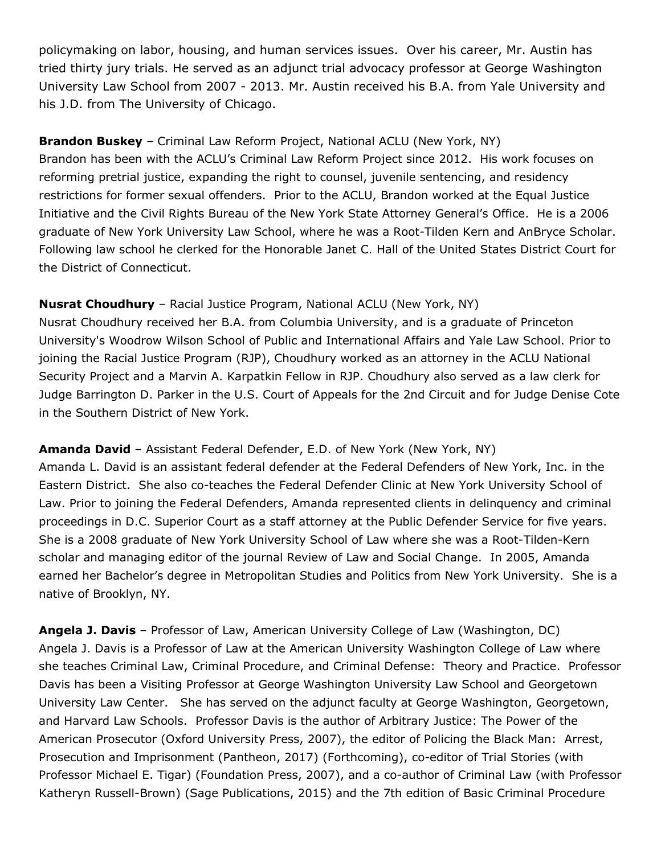policymaking on labor, housing, and human services issues. Over his career, Mr. Austin has tried thirty jury trials. He served as an adjunct trial advocacy professor at George Washington University Law School from 2007 - 2013. Mr. Austin received his B.A. from Yale University and his J.D. from The University of Chicago.

**Brandon Buskey** *–* Criminal Law Reform Project, National ACLU (New York, NY) Brandon has been with the ACLU's Criminal Law Reform Project since 2012. His work focuses on reforming pretrial justice, expanding the right to counsel, juvenile sentencing, and residency restrictions for former sexual offenders. Prior to the ACLU, Brandon worked at the Equal Justice Initiative and the Civil Rights Bureau of the New York State Attorney General's Office. He is a 2006 graduate of New York University Law School, where he was a Root-Tilden Kern and AnBryce Scholar. Following law school he clerked for the Honorable Janet C. Hall of the United States District Court for the District of Connecticut.

## **Nusrat [Choudhury](https://www.aclu.org/bio/nusrat-choudhury)** – Racial Justice Program, National ACLU (New York, NY)

Nusrat Choudhury received her B.A. from Columbia University, and is a graduate of Princeton University's Woodrow Wilson School of Public and International Affairs and Yale Law School. Prior to joining the Racial Justice Program (RJP), Choudhury worked as an attorney in the ACLU National Security Project and a Marvin A. Karpatkin Fellow in RJP. Choudhury also served as a law clerk for Judge Barrington D. Parker in the U.S. Court of Appeals for the 2nd Circuit and for Judge Denise Cote in the Southern District of New York.

**Amanda David** – Assistant Federal Defender, E.D. of New York (New York, NY) Amanda L. David is an assistant federal defender at the Federal Defenders of New York, Inc. in the Eastern District. She also co-teaches the Federal Defender Clinic at New York University School of Law. Prior to joining the Federal Defenders, Amanda represented clients in delinquency and criminal proceedings in D.C. Superior Court as a staff attorney at the Public Defender Service for five years. She is a 2008 graduate of New York University School of Law where she was a Root-Tilden-Kern scholar and managing editor of the journal Review of Law and Social Change. In 2005, Amanda earned her Bachelor's degree in Metropolitan Studies and Politics from New York University. She is a native of Brooklyn, NY.

**Angela J. Davis** – Professor of Law, American University College of Law (Washington, DC) Angela J. Davis is a Professor of Law at the American University Washington College of Law where she teaches Criminal Law, Criminal Procedure, and Criminal Defense: Theory and Practice. Professor Davis has been a Visiting Professor at George Washington University Law School and Georgetown University Law Center. She has served on the adjunct faculty at George Washington, Georgetown, and Harvard Law Schools. Professor Davis is the author of Arbitrary Justice: The Power of the American Prosecutor (Oxford University Press, 2007), the editor of Policing the Black Man: Arrest, Prosecution and Imprisonment (Pantheon, 2017) (Forthcoming), co-editor of Trial Stories (with Professor Michael E. Tigar) (Foundation Press, 2007), and a co-author of Criminal Law (with Professor Katheryn Russell-Brown) (Sage Publications, 2015) and the 7th edition of Basic Criminal Procedure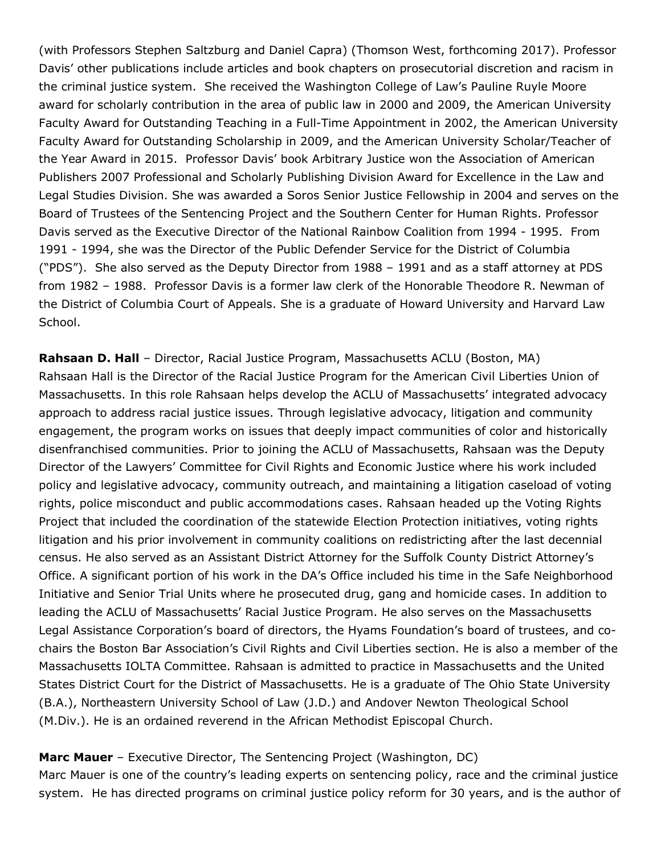(with Professors Stephen Saltzburg and Daniel Capra) (Thomson West, forthcoming 2017). Professor Davis' other publications include articles and book chapters on prosecutorial discretion and racism in the criminal justice system. She received the Washington College of Law's Pauline Ruyle Moore award for scholarly contribution in the area of public law in 2000 and 2009, the American University Faculty Award for Outstanding Teaching in a Full-Time Appointment in 2002, the American University Faculty Award for Outstanding Scholarship in 2009, and the American University Scholar/Teacher of the Year Award in 2015. Professor Davis' book Arbitrary Justice won the Association of American Publishers 2007 Professional and Scholarly Publishing Division Award for Excellence in the Law and Legal Studies Division. She was awarded a Soros Senior Justice Fellowship in 2004 and serves on the Board of Trustees of the Sentencing Project and the Southern Center for Human Rights. Professor Davis served as the Executive Director of the National Rainbow Coalition from 1994 - 1995. From 1991 - 1994, she was the Director of the Public Defender Service for the District of Columbia ("PDS"). She also served as the Deputy Director from 1988 – 1991 and as a staff attorney at PDS from 1982 – 1988. Professor Davis is a former law clerk of the Honorable Theodore R. Newman of the District of Columbia Court of Appeals. She is a graduate of Howard University and Harvard Law School.

**[Rahsaan](https://aclum.org/about/staff-advocates/rahsaan-hall/) D. Hall** – Director, Racial Justice Program, Massachusetts ACLU (Boston, MA) Rahsaan Hall is the Director of the Racial Justice Program for the American Civil Liberties Union of Massachusetts. In this role Rahsaan helps develop the ACLU of Massachusetts' integrated advocacy approach to address racial justice issues. Through legislative advocacy, litigation and community engagement, the program works on issues that deeply impact communities of color and historically disenfranchised communities. Prior to joining the ACLU of Massachusetts, Rahsaan was the Deputy Director of the Lawyers' Committee for Civil Rights and Economic Justice where his work included policy and legislative advocacy, community outreach, and maintaining a litigation caseload of voting rights, police misconduct and public accommodations cases. Rahsaan headed up the Voting Rights Project that included the coordination of the statewide Election Protection initiatives, voting rights litigation and his prior involvement in community coalitions on redistricting after the last decennial census. He also served as an Assistant District Attorney for the Suffolk County District Attorney's Office. A significant portion of his work in the DA's Office included his time in the Safe Neighborhood Initiative and Senior Trial Units where he prosecuted drug, gang and homicide cases. In addition to leading the ACLU of Massachusetts' Racial Justice Program. He also serves on the Massachusetts Legal Assistance Corporation's board of directors, the Hyams Foundation's board of trustees, and cochairs the Boston Bar Association's Civil Rights and Civil Liberties section. He is also a member of the Massachusetts IOLTA Committee. Rahsaan is admitted to practice in Massachusetts and the United States District Court for the District of Massachusetts. He is a graduate of The Ohio State University (B.A.), Northeastern University School of Law (J.D.) and Andover Newton Theological School (M.Div.). He is an ordained reverend in the African Methodist Episcopal Church.

#### **Marc [Mauer](http://www.sentencingproject.org/staff/marc-mauer/)** – Executive Director, The Sentencing Project (Washington, DC)

Marc Mauer is one of the country's leading experts on sentencing policy, race and the criminal justice system. He has directed programs on criminal justice policy reform for 30 years, and is the author of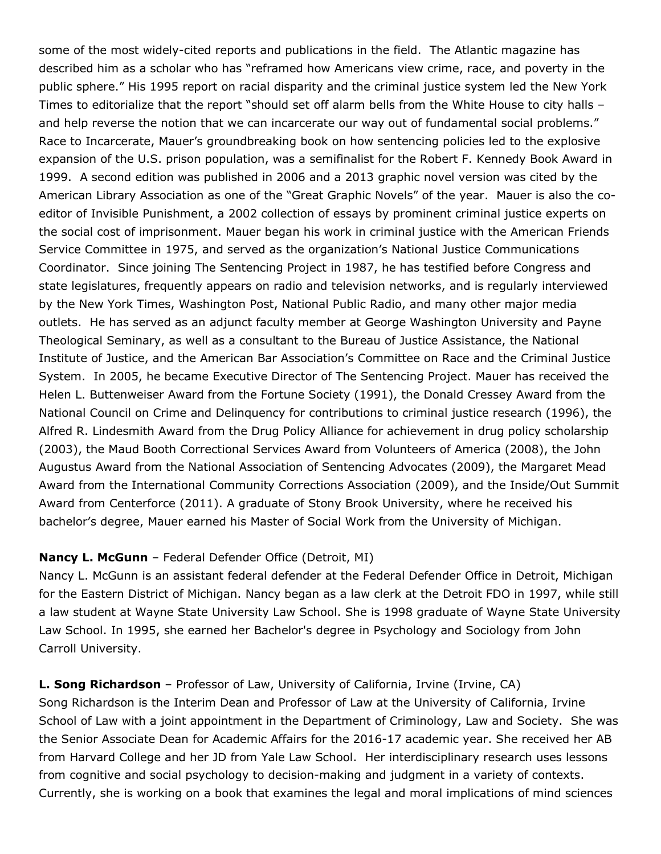some of the most widely-cited reports and publications in the field. The Atlantic magazine has described him as a scholar who has "reframed how Americans view crime, race, and poverty in the public sphere." His 1995 report on racial disparity and the criminal justice system led the New York Times to editorialize that the report "should set off alarm bells from the White House to city halls – and help reverse the notion that we can incarcerate our way out of fundamental social problems." Race to Incarcerate, Mauer's groundbreaking book on how sentencing policies led to the explosive expansion of the U.S. prison population, was a semifinalist for the Robert F. Kennedy Book Award in 1999. A second edition was published in 2006 and a 2013 graphic novel version was cited by the American Library Association as one of the "Great Graphic Novels" of the year. Mauer is also the coeditor of Invisible Punishment, a 2002 collection of essays by prominent criminal justice experts on the social cost of imprisonment. Mauer began his work in criminal justice with the American Friends Service Committee in 1975, and served as the organization's National Justice Communications Coordinator. Since joining The Sentencing Project in 1987, he has testified before Congress and state legislatures, frequently appears on radio and television networks, and is regularly interviewed by the New York Times, Washington Post, National Public Radio, and many other major media outlets. He has served as an adjunct faculty member at George Washington University and Payne Theological Seminary, as well as a consultant to the Bureau of Justice Assistance, the National Institute of Justice, and the American Bar Association's Committee on Race and the Criminal Justice System. In 2005, he became Executive Director of The Sentencing Project. Mauer has received the Helen L. Buttenweiser Award from the Fortune Society (1991), the Donald Cressey Award from the National Council on Crime and Delinquency for contributions to criminal justice research (1996), the Alfred R. Lindesmith Award from the Drug Policy Alliance for achievement in drug policy scholarship (2003), the Maud Booth Correctional Services Award from Volunteers of America (2008), the John Augustus Award from the National Association of Sentencing Advocates (2009), the Margaret Mead Award from the International Community Corrections Association (2009), and the Inside/Out Summit Award from Centerforce (2011). A graduate of Stony Brook University, where he received his bachelor's degree, Mauer earned his Master of Social Work from the University of Michigan.

### **Nancy L. McGunn** – Federal Defender Office (Detroit, MI)

Nancy L. McGunn is an assistant federal defender at the Federal Defender Office in Detroit, Michigan for the Eastern District of Michigan. Nancy began as a law clerk at the Detroit FDO in 1997, while still a law student at Wayne State University Law School. She is 1998 graduate of Wayne State University Law School. In 1995, she earned her Bachelor's degree in Psychology and Sociology from John Carroll University.

**L. Song Richardson** – Professor of Law, University of California, Irvine (Irvine, CA) Song Richardson is the Interim Dean and Professor of Law at the University of California, Irvine School of Law with a joint appointment in the Department of Criminology, Law and Society. She was the Senior Associate Dean for Academic Affairs for the 2016-17 academic year. She received her AB from Harvard College and her JD from Yale Law School. Her interdisciplinary research uses lessons from cognitive and social psychology to decision-making and judgment in a variety of contexts. Currently, she is working on a book that examines the legal and moral implications of mind sciences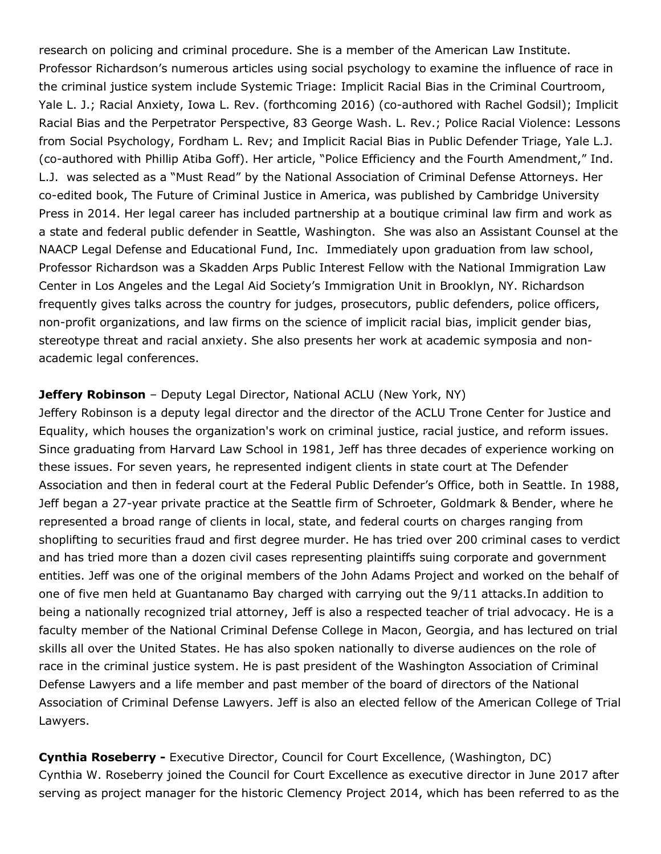research on policing and criminal procedure. She is a member of the American Law Institute. Professor Richardson's numerous articles using social psychology to examine the influence of race in the criminal justice system include Systemic Triage: Implicit Racial Bias in the Criminal Courtroom, Yale L. J.; Racial Anxiety, Iowa L. Rev. (forthcoming 2016) (co-authored with Rachel Godsil); Implicit Racial Bias and the Perpetrator Perspective, 83 George Wash. L. Rev.; Police Racial Violence: Lessons from Social Psychology, Fordham L. Rev; and Implicit Racial Bias in Public Defender Triage, Yale L.J. (co-authored with Phillip Atiba Goff). Her article, "Police Efficiency and the Fourth Amendment," Ind. L.J. was selected as a "Must Read" by the National Association of Criminal Defense Attorneys. Her co-edited book, The Future of Criminal Justice in America, was published by Cambridge University Press in 2014. Her legal career has included partnership at a boutique criminal law firm and work as a state and federal public defender in Seattle, Washington. She was also an Assistant Counsel at the NAACP Legal Defense and Educational Fund, Inc. Immediately upon graduation from law school, Professor Richardson was a Skadden Arps Public Interest Fellow with the National Immigration Law Center in Los Angeles and the Legal Aid Society's Immigration Unit in Brooklyn, NY. Richardson frequently gives talks across the country for judges, prosecutors, public defenders, police officers, non-profit organizations, and law firms on the science of implicit racial bias, implicit gender bias, stereotype threat and racial anxiety. She also presents her work at academic symposia and nonacademic legal conferences.

#### **Jeffery Robinson** – Deputy Legal Director, National ACLU (New York, NY)

Jeffery Robinson is a deputy legal director and the director of the ACLU Trone Center for Justice and Equality, which houses the organization's work on criminal justice, racial justice, and reform issues. Since graduating from Harvard Law School in 1981, Jeff has three decades of experience working on these issues. For seven years, he represented indigent clients in state court at The Defender Association and then in federal court at the Federal Public Defender's Office, both in Seattle. In 1988, Jeff began a 27-year private practice at the Seattle firm of Schroeter, Goldmark & Bender, where he represented a broad range of clients in local, state, and federal courts on charges ranging from shoplifting to securities fraud and first degree murder. He has tried over 200 criminal cases to verdict and has tried more than a dozen civil cases representing plaintiffs suing corporate and government entities. Jeff was one of the original members of the John Adams Project and worked on the behalf of one of five men held at Guantanamo Bay charged with carrying out the 9/11 attacks.In addition to being a nationally recognized trial attorney, Jeff is also a respected teacher of trial advocacy. He is a faculty member of the National Criminal Defense College in Macon, Georgia, and has lectured on trial skills all over the United States. He has also spoken nationally to diverse audiences on the role of race in the criminal justice system. He is past president of the Washington Association of Criminal Defense Lawyers and a life member and past member of the board of directors of the National Association of Criminal Defense Lawyers. Jeff is also an elected fellow of the American College of Trial Lawyers.

**Cynthia Roseberry -** Executive Director, Council for Court Excellence, (Washington, DC) Cynthia W. Roseberry joined the Council for Court Excellence as executive director in June 2017 after serving as project manager for the historic Clemency Project 2014, which has been referred to as the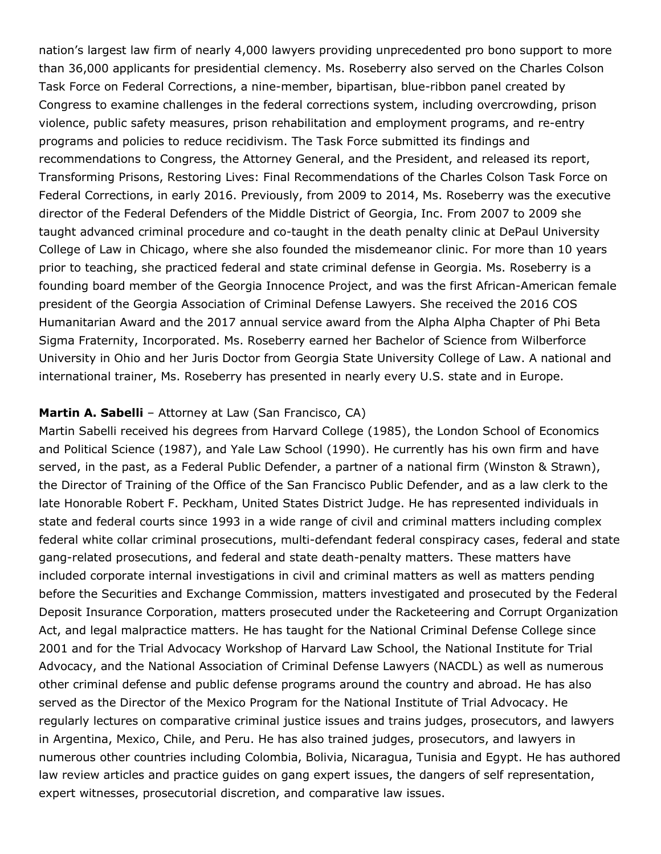nation's largest law firm of nearly 4,000 lawyers providing unprecedented pro bono support to more than 36,000 applicants for presidential clemency. Ms. Roseberry also served on the Charles Colson Task Force on Federal Corrections, a nine-member, bipartisan, blue-ribbon panel created by Congress to examine challenges in the federal corrections system, including overcrowding, prison violence, public safety measures, prison rehabilitation and employment programs, and re-entry programs and policies to reduce recidivism. The Task Force submitted its findings and recommendations to Congress, the Attorney General, and the President, and released its report, Transforming Prisons, Restoring Lives: Final Recommendations of the Charles Colson Task Force on Federal Corrections, in early 2016. Previously, from 2009 to 2014, Ms. Roseberry was the executive director of the Federal Defenders of the Middle District of Georgia, Inc. From 2007 to 2009 she taught advanced criminal procedure and co-taught in the death penalty clinic at DePaul University College of Law in Chicago, where she also founded the misdemeanor clinic. For more than 10 years prior to teaching, she practiced federal and state criminal defense in Georgia. Ms. Roseberry is a founding board member of the Georgia Innocence Project, and was the first African-American female president of the Georgia Association of Criminal Defense Lawyers. She received the 2016 COS Humanitarian Award and the 2017 annual service award from the Alpha Alpha Chapter of Phi Beta Sigma Fraternity, Incorporated. Ms. Roseberry earned her Bachelor of Science from Wilberforce University in Ohio and her Juris Doctor from Georgia State University College of Law. A national and international trainer, Ms. Roseberry has presented in nearly every U.S. state and in Europe.

#### **Martin A. Sabelli** – Attorney at Law (San Francisco, CA)

Martin Sabelli received his degrees from Harvard College (1985), the London School of Economics and Political Science (1987), and Yale Law School (1990). He currently has his own firm and have served, in the past, as a Federal Public Defender, a partner of a national firm (Winston & Strawn), the Director of Training of the Office of the San Francisco Public Defender, and as a law clerk to the late Honorable Robert F. Peckham, United States District Judge. He has represented individuals in state and federal courts since 1993 in a wide range of civil and criminal matters including complex federal white collar criminal prosecutions, multi-defendant federal conspiracy cases, federal and state gang-related prosecutions, and federal and state death-penalty matters. These matters have included corporate internal investigations in civil and criminal matters as well as matters pending before the Securities and Exchange Commission, matters investigated and prosecuted by the Federal Deposit Insurance Corporation, matters prosecuted under the Racketeering and Corrupt Organization Act, and legal malpractice matters. He has taught for the National Criminal Defense College since 2001 and for the Trial Advocacy Workshop of Harvard Law School, the National Institute for Trial Advocacy, and the National Association of Criminal Defense Lawyers (NACDL) as well as numerous other criminal defense and public defense programs around the country and abroad. He has also served as the Director of the Mexico Program for the National Institute of Trial Advocacy. He regularly lectures on comparative criminal justice issues and trains judges, prosecutors, and lawyers in Argentina, Mexico, Chile, and Peru. He has also trained judges, prosecutors, and lawyers in numerous other countries including Colombia, Bolivia, Nicaragua, Tunisia and Egypt. He has authored law review articles and practice guides on gang expert issues, the dangers of self representation, expert witnesses, prosecutorial discretion, and comparative law issues.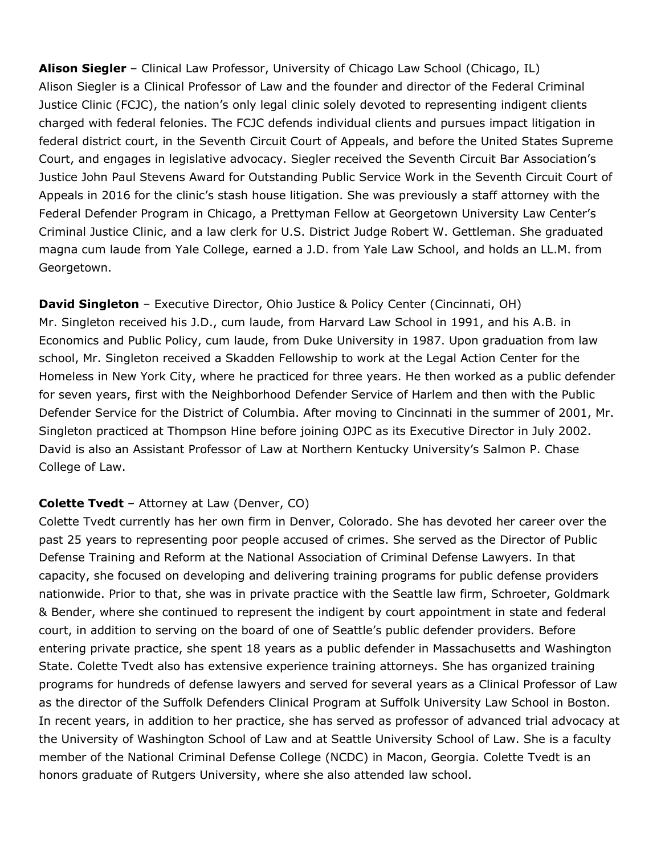**Alison Siegler** – Clinical Law Professor, University of Chicago Law School (Chicago, IL) Alison Siegler is a Clinical Professor of Law and the founder and director of the Federal Criminal Justice Clinic (FCJC), the nation's only legal clinic solely devoted to representing indigent clients charged with federal felonies. The FCJC defends individual clients and pursues impact litigation in federal district court, in the Seventh Circuit Court of Appeals, and before the United States Supreme Court, and engages in legislative advocacy. Siegler received the Seventh Circuit Bar Association's Justice John Paul Stevens Award for Outstanding Public Service Work in the Seventh Circuit Court of Appeals in 2016 for the clinic's stash house litigation. She was previously a staff attorney with the Federal Defender Program in Chicago, a Prettyman Fellow at Georgetown University Law Center's Criminal Justice Clinic, and a law clerk for U.S. District Judge Robert W. Gettleman. She graduated magna cum laude from Yale College, earned a J.D. from Yale Law School, and holds an LL.M. from Georgetown.

**David Singleton** – Executive Director, Ohio Justice & Policy Center (Cincinnati, OH) Mr. Singleton received his J.D., cum laude, from Harvard Law School in 1991, and his A.B. in Economics and Public Policy, cum laude, from Duke University in 1987. Upon graduation from law school, Mr. Singleton received a Skadden Fellowship to work at the Legal Action Center for the Homeless in New York City, where he practiced for three years. He then worked as a public defender for seven years, first with the Neighborhood Defender Service of Harlem and then with the Public Defender Service for the District of Columbia. After moving to Cincinnati in the summer of 2001, Mr. Singleton practiced at Thompson Hine before joining OJPC as its Executive Director in July 2002. David is also an Assistant Professor of Law at Northern Kentucky University's Salmon P. Chase College of Law.

## **Colette Tvedt** – Attorney at Law (Denver, CO)

Colette Tvedt currently has her own firm in Denver, Colorado. She has devoted her career over the past 25 years to representing poor people accused of crimes. She served as the Director of Public Defense Training and Reform at the National Association of Criminal Defense Lawyers. In that capacity, she focused on developing and delivering training programs for public defense providers nationwide. Prior to that, she was in private practice with the Seattle law firm, Schroeter, Goldmark & Bender, where she continued to represent the indigent by court appointment in state and federal court, in addition to serving on the board of one of Seattle's public defender providers. Before entering private practice, she spent 18 years as a public defender in Massachusetts and Washington State. Colette Tvedt also has extensive experience training attorneys. She has organized training programs for hundreds of defense lawyers and served for several years as a Clinical Professor of Law as the director of the Suffolk Defenders Clinical Program at Suffolk University Law School in Boston. In recent years, in addition to her practice, she has served as professor of advanced trial advocacy at the University of Washington School of Law and at Seattle University School of Law. She is a faculty member of the National Criminal Defense College (NCDC) in Macon, Georgia. Colette Tvedt is an honors graduate of Rutgers University, where she also attended law school.